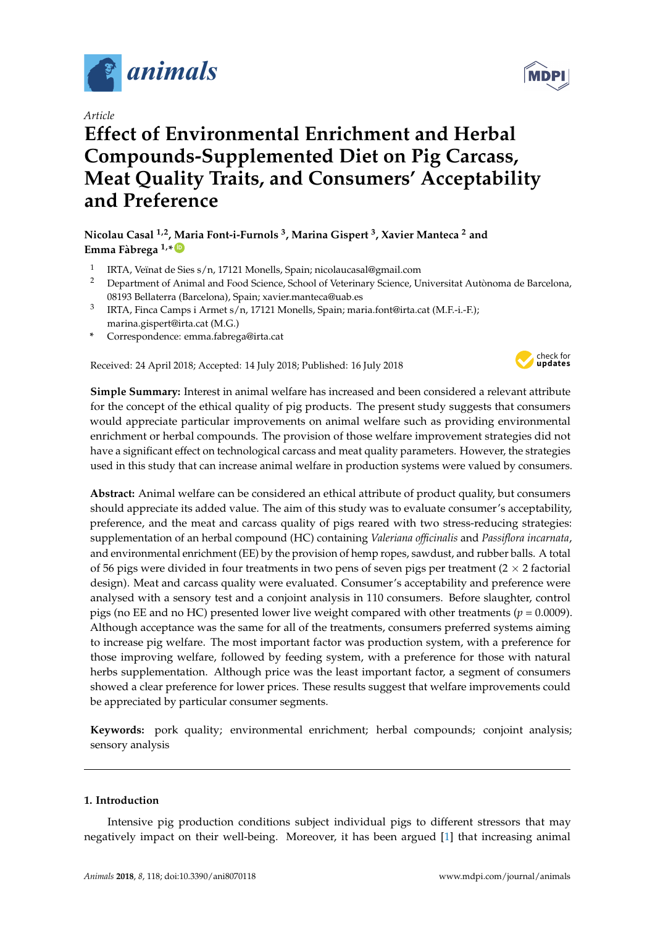

*Article*

# **Effect of Environmental Enrichment and Herbal Compounds-Supplemented Diet on Pig Carcass, Meat Quality Traits, and Consumers' Acceptability and Preference**

## **Nicolau Casal 1,2, Maria Font-i-Furnols <sup>3</sup> , Marina Gispert <sup>3</sup> , Xavier Manteca <sup>2</sup> and Emma Fàbrega 1,\* [ID](https://orcid.org/0000-0002-1877-8254)**

- 1 IRTA, Veïnat de Sies s/n, 17121 Monells, Spain; nicolaucasal@gmail.com
- <sup>2</sup> Department of Animal and Food Science, School of Veterinary Science, Universitat Autònoma de Barcelona, 08193 Bellaterra (Barcelona), Spain; xavier.manteca@uab.es
- $^3$   $\,$  IRTA, Finca Camps i Armet s/n, 17121 Monells, Spain; maria.font@irta.cat (M.F.-i.-F.); marina.gispert@irta.cat (M.G.)
- **\*** Correspondence: emma.fabrega@irta.cat

Received: 24 April 2018; Accepted: 14 July 2018; Published: 16 July 2018



**Simple Summary:** Interest in animal welfare has increased and been considered a relevant attribute for the concept of the ethical quality of pig products. The present study suggests that consumers would appreciate particular improvements on animal welfare such as providing environmental enrichment or herbal compounds. The provision of those welfare improvement strategies did not have a significant effect on technological carcass and meat quality parameters. However, the strategies used in this study that can increase animal welfare in production systems were valued by consumers.

**Abstract:** Animal welfare can be considered an ethical attribute of product quality, but consumers should appreciate its added value. The aim of this study was to evaluate consumer's acceptability, preference, and the meat and carcass quality of pigs reared with two stress-reducing strategies: supplementation of an herbal compound (HC) containing *Valeriana officinalis* and *Passiflora incarnata*, and environmental enrichment (EE) by the provision of hemp ropes, sawdust, and rubber balls. A total of 56 pigs were divided in four treatments in two pens of seven pigs per treatment ( $2 \times 2$  factorial design). Meat and carcass quality were evaluated. Consumer's acceptability and preference were analysed with a sensory test and a conjoint analysis in 110 consumers. Before slaughter, control pigs (no EE and no HC) presented lower live weight compared with other treatments ( $p = 0.0009$ ). Although acceptance was the same for all of the treatments, consumers preferred systems aiming to increase pig welfare. The most important factor was production system, with a preference for those improving welfare, followed by feeding system, with a preference for those with natural herbs supplementation. Although price was the least important factor, a segment of consumers showed a clear preference for lower prices. These results suggest that welfare improvements could be appreciated by particular consumer segments.

**Keywords:** pork quality; environmental enrichment; herbal compounds; conjoint analysis; sensory analysis

### **1. Introduction**

Intensive pig production conditions subject individual pigs to different stressors that may negatively impact on their well-being. Moreover, it has been argued [\[1\]](#page-10-0) that increasing animal

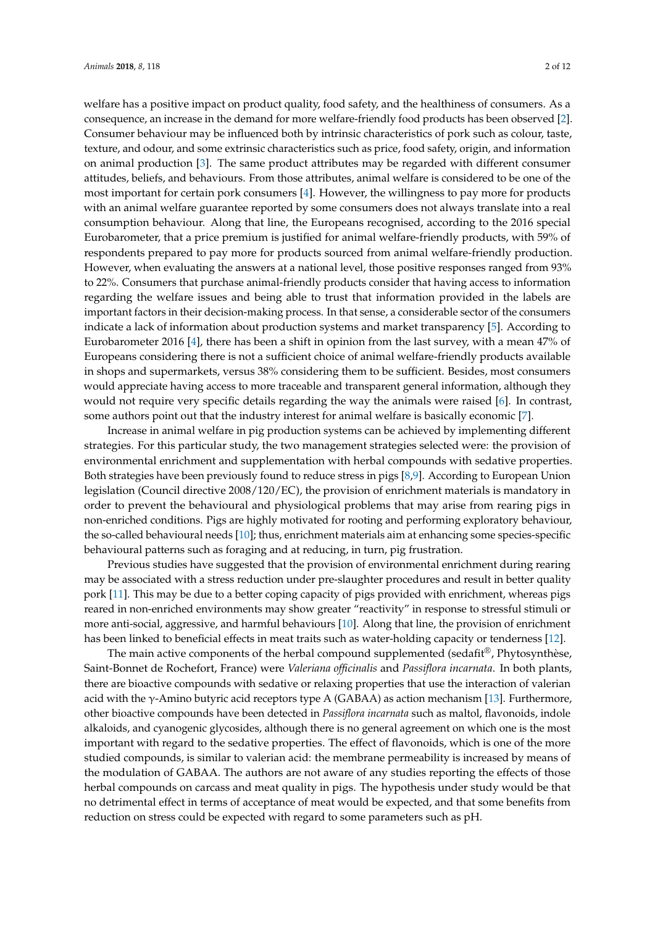welfare has a positive impact on product quality, food safety, and the healthiness of consumers. As a consequence, an increase in the demand for more welfare-friendly food products has been observed [\[2\]](#page-10-1). Consumer behaviour may be influenced both by intrinsic characteristics of pork such as colour, taste, texture, and odour, and some extrinsic characteristics such as price, food safety, origin, and information on animal production [\[3\]](#page-10-2). The same product attributes may be regarded with different consumer attitudes, beliefs, and behaviours. From those attributes, animal welfare is considered to be one of the most important for certain pork consumers [\[4\]](#page-10-3). However, the willingness to pay more for products with an animal welfare guarantee reported by some consumers does not always translate into a real consumption behaviour. Along that line, the Europeans recognised, according to the 2016 special Eurobarometer, that a price premium is justified for animal welfare-friendly products, with 59% of respondents prepared to pay more for products sourced from animal welfare-friendly production. However, when evaluating the answers at a national level, those positive responses ranged from 93% to 22%. Consumers that purchase animal-friendly products consider that having access to information regarding the welfare issues and being able to trust that information provided in the labels are important factors in their decision-making process. In that sense, a considerable sector of the consumers indicate a lack of information about production systems and market transparency [\[5\]](#page-10-4). According to Eurobarometer 2016 [\[4\]](#page-10-3), there has been a shift in opinion from the last survey, with a mean 47% of Europeans considering there is not a sufficient choice of animal welfare-friendly products available in shops and supermarkets, versus 38% considering them to be sufficient. Besides, most consumers would appreciate having access to more traceable and transparent general information, although they would not require very specific details regarding the way the animals were raised [\[6\]](#page-10-5). In contrast, some authors point out that the industry interest for animal welfare is basically economic [\[7\]](#page-10-6).

Increase in animal welfare in pig production systems can be achieved by implementing different strategies. For this particular study, the two management strategies selected were: the provision of environmental enrichment and supplementation with herbal compounds with sedative properties. Both strategies have been previously found to reduce stress in pigs [\[8](#page-10-7)[,9\]](#page-10-8). According to European Union legislation (Council directive 2008/120/EC), the provision of enrichment materials is mandatory in order to prevent the behavioural and physiological problems that may arise from rearing pigs in non-enriched conditions. Pigs are highly motivated for rooting and performing exploratory behaviour, the so-called behavioural needs [\[10\]](#page-10-9); thus, enrichment materials aim at enhancing some species-specific behavioural patterns such as foraging and at reducing, in turn, pig frustration.

Previous studies have suggested that the provision of environmental enrichment during rearing may be associated with a stress reduction under pre-slaughter procedures and result in better quality pork [\[11\]](#page-10-10). This may be due to a better coping capacity of pigs provided with enrichment, whereas pigs reared in non-enriched environments may show greater "reactivity" in response to stressful stimuli or more anti-social, aggressive, and harmful behaviours [\[10\]](#page-10-9). Along that line, the provision of enrichment has been linked to beneficial effects in meat traits such as water-holding capacity or tenderness [\[12\]](#page-10-11).

The main active components of the herbal compound supplemented (sedafit®, Phytosynthèse, Saint-Bonnet de Rochefort, France) were *Valeriana officinalis* and *Passiflora incarnata*. In both plants, there are bioactive compounds with sedative or relaxing properties that use the interaction of valerian acid with the γ-Amino butyric acid receptors type A (GABAA) as action mechanism [\[13\]](#page-10-12). Furthermore, other bioactive compounds have been detected in *Passiflora incarnata* such as maltol, flavonoids, indole alkaloids, and cyanogenic glycosides, although there is no general agreement on which one is the most important with regard to the sedative properties. The effect of flavonoids, which is one of the more studied compounds, is similar to valerian acid: the membrane permeability is increased by means of the modulation of GABAA. The authors are not aware of any studies reporting the effects of those herbal compounds on carcass and meat quality in pigs. The hypothesis under study would be that no detrimental effect in terms of acceptance of meat would be expected, and that some benefits from reduction on stress could be expected with regard to some parameters such as pH.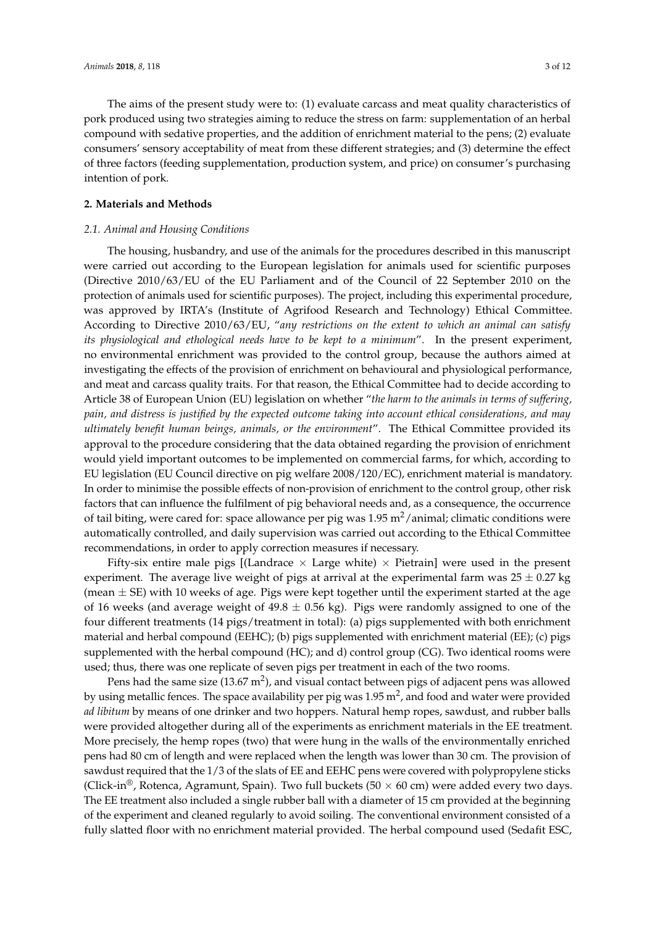The aims of the present study were to: (1) evaluate carcass and meat quality characteristics of pork produced using two strategies aiming to reduce the stress on farm: supplementation of an herbal compound with sedative properties, and the addition of enrichment material to the pens; (2) evaluate consumers' sensory acceptability of meat from these different strategies; and (3) determine the effect of three factors (feeding supplementation, production system, and price) on consumer's purchasing intention of pork.

#### **2. Materials and Methods**

#### *2.1. Animal and Housing Conditions*

The housing, husbandry, and use of the animals for the procedures described in this manuscript were carried out according to the European legislation for animals used for scientific purposes (Directive 2010/63/EU of the EU Parliament and of the Council of 22 September 2010 on the protection of animals used for scientific purposes). The project, including this experimental procedure, was approved by IRTA's (Institute of Agrifood Research and Technology) Ethical Committee. According to Directive 2010/63/EU, "*any restrictions on the extent to which an animal can satisfy its physiological and ethological needs have to be kept to a minimum*". In the present experiment, no environmental enrichment was provided to the control group, because the authors aimed at investigating the effects of the provision of enrichment on behavioural and physiological performance, and meat and carcass quality traits. For that reason, the Ethical Committee had to decide according to Article 38 of European Union (EU) legislation on whether "*the harm to the animals in terms of suffering, pain, and distress is justified by the expected outcome taking into account ethical considerations, and may ultimately benefit human beings, animals, or the environment*". The Ethical Committee provided its approval to the procedure considering that the data obtained regarding the provision of enrichment would yield important outcomes to be implemented on commercial farms, for which, according to EU legislation (EU Council directive on pig welfare 2008/120/EC), enrichment material is mandatory. In order to minimise the possible effects of non-provision of enrichment to the control group, other risk factors that can influence the fulfilment of pig behavioral needs and, as a consequence, the occurrence of tail biting, were cared for: space allowance per pig was  $1.95 \text{ m}^2/\text{animal}$ ; climatic conditions were automatically controlled, and daily supervision was carried out according to the Ethical Committee recommendations, in order to apply correction measures if necessary.

Fifty-six entire male pigs [(Landrace  $\times$  Large white)  $\times$  Pietrain] were used in the present experiment. The average live weight of pigs at arrival at the experimental farm was  $25 \pm 0.27$  kg (mean  $\pm$  SE) with 10 weeks of age. Pigs were kept together until the experiment started at the age of 16 weeks (and average weight of  $49.8 \pm 0.56$  kg). Pigs were randomly assigned to one of the four different treatments (14 pigs/treatment in total): (a) pigs supplemented with both enrichment material and herbal compound (EEHC); (b) pigs supplemented with enrichment material (EE); (c) pigs supplemented with the herbal compound (HC); and d) control group (CG). Two identical rooms were used; thus, there was one replicate of seven pigs per treatment in each of the two rooms.

Pens had the same size (13.67 m<sup>2</sup>), and visual contact between pigs of adjacent pens was allowed by using metallic fences. The space availability per pig was 1.95 m<sup>2</sup>, and food and water were provided *ad libitum* by means of one drinker and two hoppers. Natural hemp ropes, sawdust, and rubber balls were provided altogether during all of the experiments as enrichment materials in the EE treatment. More precisely, the hemp ropes (two) that were hung in the walls of the environmentally enriched pens had 80 cm of length and were replaced when the length was lower than 30 cm. The provision of sawdust required that the 1/3 of the slats of EE and EEHC pens were covered with polypropylene sticks (Click-in<sup>®</sup>, Rotenca, Agramunt, Spain). Two full buckets (50  $\times$  60 cm) were added every two days. The EE treatment also included a single rubber ball with a diameter of 15 cm provided at the beginning of the experiment and cleaned regularly to avoid soiling. The conventional environment consisted of a fully slatted floor with no enrichment material provided. The herbal compound used (Sedafit ESC,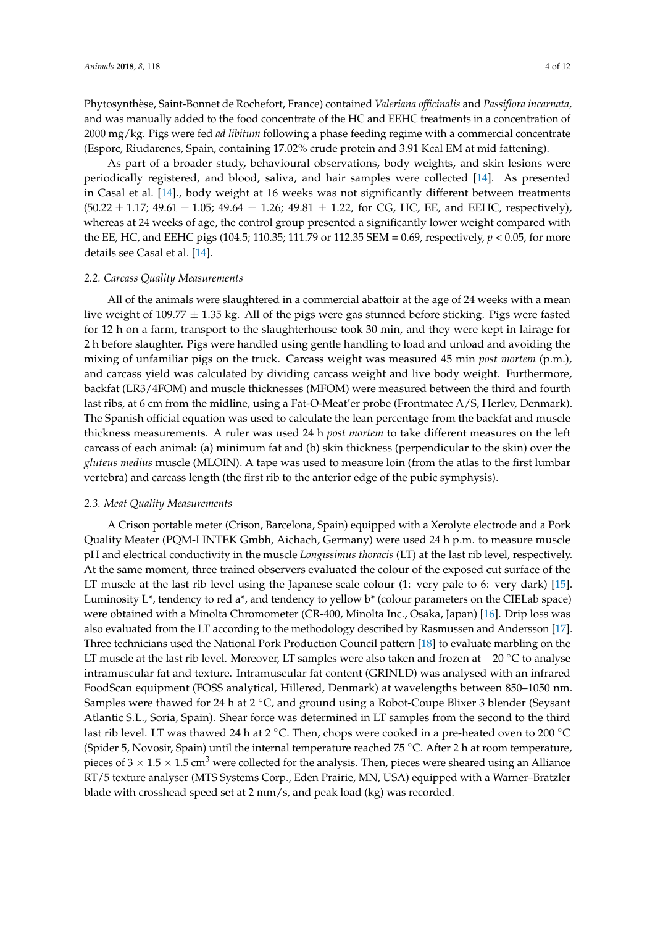Phytosynthèse, Saint-Bonnet de Rochefort, France) contained *Valeriana officinalis* and *Passiflora incarnata,* and was manually added to the food concentrate of the HC and EEHC treatments in a concentration of 2000 mg/kg. Pigs were fed *ad libitum* following a phase feeding regime with a commercial concentrate (Esporc, Riudarenes, Spain, containing 17.02% crude protein and 3.91 Kcal EM at mid fattening).

As part of a broader study, behavioural observations, body weights, and skin lesions were periodically registered, and blood, saliva, and hair samples were collected [\[14\]](#page-10-13). As presented in Casal et al. [\[14\]](#page-10-13)., body weight at 16 weeks was not significantly different between treatments  $(50.22 \pm 1.17; 49.61 \pm 1.05; 49.64 \pm 1.26; 49.81 \pm 1.22,$  for CG, HC, EE, and EEHC, respectively), whereas at 24 weeks of age, the control group presented a significantly lower weight compared with the EE, HC, and EEHC pigs (104.5; 110.35; 111.79 or 112.35 SEM = 0.69, respectively, *p* < 0.05, for more details see Casal et al. [\[14\]](#page-10-13).

#### *2.2. Carcass Quality Measurements*

All of the animals were slaughtered in a commercial abattoir at the age of 24 weeks with a mean live weight of  $109.77 \pm 1.35$  kg. All of the pigs were gas stunned before sticking. Pigs were fasted for 12 h on a farm, transport to the slaughterhouse took 30 min, and they were kept in lairage for 2 h before slaughter. Pigs were handled using gentle handling to load and unload and avoiding the mixing of unfamiliar pigs on the truck. Carcass weight was measured 45 min *post mortem* (p.m.), and carcass yield was calculated by dividing carcass weight and live body weight. Furthermore, backfat (LR3/4FOM) and muscle thicknesses (MFOM) were measured between the third and fourth last ribs, at 6 cm from the midline, using a Fat-O-Meat'er probe (Frontmatec A/S, Herlev, Denmark). The Spanish official equation was used to calculate the lean percentage from the backfat and muscle thickness measurements. A ruler was used 24 h *post mortem* to take different measures on the left carcass of each animal: (a) minimum fat and (b) skin thickness (perpendicular to the skin) over the *gluteus medius* muscle (MLOIN). A tape was used to measure loin (from the atlas to the first lumbar vertebra) and carcass length (the first rib to the anterior edge of the pubic symphysis).

#### *2.3. Meat Quality Measurements*

A Crison portable meter (Crison, Barcelona, Spain) equipped with a Xerolyte electrode and a Pork Quality Meater (PQM-I INTEK Gmbh, Aichach, Germany) were used 24 h p.m. to measure muscle pH and electrical conductivity in the muscle *Longissimus thoracis* (LT) at the last rib level, respectively. At the same moment, three trained observers evaluated the colour of the exposed cut surface of the LT muscle at the last rib level using the Japanese scale colour (1: very pale to 6: very dark) [\[15\]](#page-10-14). Luminosity L\*, tendency to red a\*, and tendency to yellow b\* (colour parameters on the CIELab space) were obtained with a Minolta Chromometer (CR-400, Minolta Inc., Osaka, Japan) [\[16\]](#page-10-15). Drip loss was also evaluated from the LT according to the methodology described by Rasmussen and Andersson [\[17\]](#page-10-16). Three technicians used the National Pork Production Council pattern [\[18\]](#page-10-17) to evaluate marbling on the LT muscle at the last rib level. Moreover, LT samples were also taken and frozen at −20 ◦C to analyse intramuscular fat and texture. Intramuscular fat content (GRINLD) was analysed with an infrared FoodScan equipment (FOSS analytical, Hillerød, Denmark) at wavelengths between 850–1050 nm. Samples were thawed for 24 h at  $2 °C$ , and ground using a Robot-Coupe Blixer 3 blender (Seysant Atlantic S.L., Soria, Spain). Shear force was determined in LT samples from the second to the third last rib level. LT was thawed 24 h at 2 °C. Then, chops were cooked in a pre-heated oven to 200 °C (Spider 5, Novosir, Spain) until the internal temperature reached 75 ◦C. After 2 h at room temperature, pieces of  $3 \times 1.5 \times 1.5$  cm<sup>3</sup> were collected for the analysis. Then, pieces were sheared using an Alliance RT/5 texture analyser (MTS Systems Corp., Eden Prairie, MN, USA) equipped with a Warner–Bratzler blade with crosshead speed set at 2 mm/s, and peak load (kg) was recorded.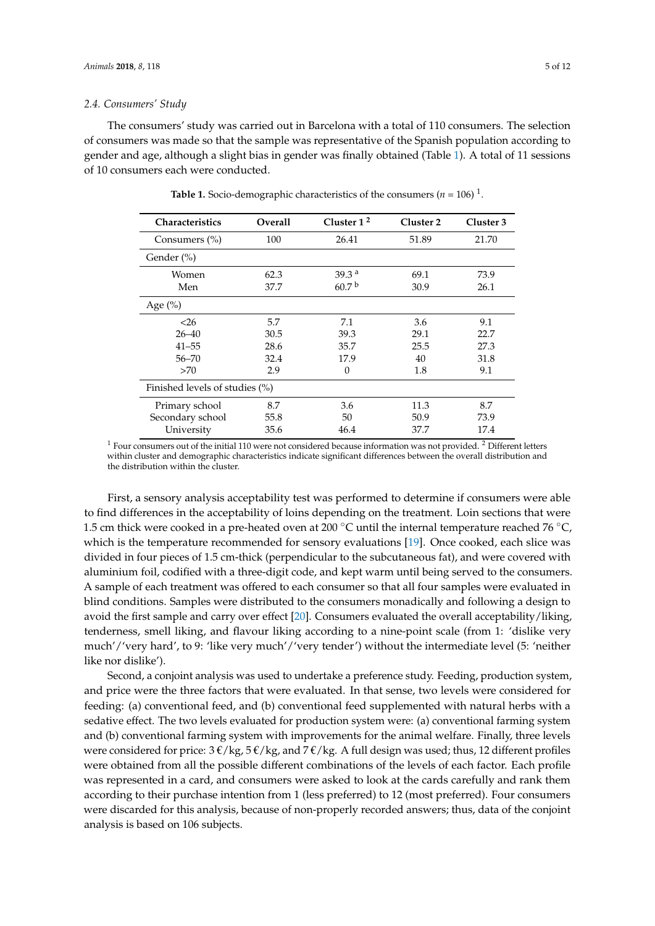#### *2.4. Consumers' Study*

<span id="page-4-0"></span>The consumers' study was carried out in Barcelona with a total of 110 consumers. The selection of consumers was made so that the sample was representative of the Spanish population according to gender and age, although a slight bias in gender was finally obtained (Table [1\)](#page-4-0). A total of 11 sessions of 10 consumers each were conducted.

| <b>Characteristics</b>         | Overall | Cluster $12$      | Cluster 2 | Cluster 3 |  |  |  |  |
|--------------------------------|---------|-------------------|-----------|-----------|--|--|--|--|
| Consumers $(\% )$              | 100     | 26.41             | 51.89     | 21.70     |  |  |  |  |
| Gender (%)                     |         |                   |           |           |  |  |  |  |
| Women                          | 62.3    | 39.3 <sup>a</sup> | 69.1      | 73.9      |  |  |  |  |
| Men                            | 37.7    | 60.7 <sup>b</sup> | 30.9      | 26.1      |  |  |  |  |
| Age $(\%)$                     |         |                   |           |           |  |  |  |  |
| $<$ 26                         | 5.7     | 7.1               | 3.6       | 9.1       |  |  |  |  |
| $26 - 40$                      | 30.5    | 39.3              | 29.1      | 22.7      |  |  |  |  |
| $41 - 55$                      | 28.6    | 35.7              | 25.5      | 27.3      |  |  |  |  |
| $56 - 70$                      | 32.4    | 17.9              | 40        | 31.8      |  |  |  |  |
| >70                            | 2.9     | $\Omega$          | 1.8       | 9.1       |  |  |  |  |
| Finished levels of studies (%) |         |                   |           |           |  |  |  |  |
| Primary school                 | 8.7     | 3.6               | 11.3      | 8.7       |  |  |  |  |
| Secondary school               | 55.8    | 50                | 50.9      | 73.9      |  |  |  |  |
| University                     | 35.6    | 46.4              | 37.7      | 17.4      |  |  |  |  |

**Table 1.** Socio-demographic characteristics of the consumers  $(n = 106)^1$ .

<sup>1</sup> Four consumers out of the initial 110 were not considered because information was not provided. <sup>2</sup> Different letters within cluster and demographic characteristics indicate significant differences between the overall distribution and the distribution within the cluster.

First, a sensory analysis acceptability test was performed to determine if consumers were able to find differences in the acceptability of loins depending on the treatment. Loin sections that were 1.5 cm thick were cooked in a pre-heated oven at 200 ◦C until the internal temperature reached 76 ◦C, which is the temperature recommended for sensory evaluations [\[19\]](#page-10-18). Once cooked, each slice was divided in four pieces of 1.5 cm-thick (perpendicular to the subcutaneous fat), and were covered with aluminium foil, codified with a three-digit code, and kept warm until being served to the consumers. A sample of each treatment was offered to each consumer so that all four samples were evaluated in blind conditions. Samples were distributed to the consumers monadically and following a design to avoid the first sample and carry over effect [\[20\]](#page-10-19). Consumers evaluated the overall acceptability/liking, tenderness, smell liking, and flavour liking according to a nine-point scale (from 1: 'dislike very much'/'very hard', to 9: 'like very much'/'very tender') without the intermediate level (5: 'neither like nor dislike').

Second, a conjoint analysis was used to undertake a preference study. Feeding, production system, and price were the three factors that were evaluated. In that sense, two levels were considered for feeding: (a) conventional feed, and (b) conventional feed supplemented with natural herbs with a sedative effect. The two levels evaluated for production system were: (a) conventional farming system and (b) conventional farming system with improvements for the animal welfare. Finally, three levels were considered for price:  $3 \ell/kg$ ,  $5 \ell/kg$ , and  $7 \ell/kg$ . A full design was used; thus, 12 different profiles were obtained from all the possible different combinations of the levels of each factor. Each profile was represented in a card, and consumers were asked to look at the cards carefully and rank them according to their purchase intention from 1 (less preferred) to 12 (most preferred). Four consumers were discarded for this analysis, because of non-properly recorded answers; thus, data of the conjoint analysis is based on 106 subjects.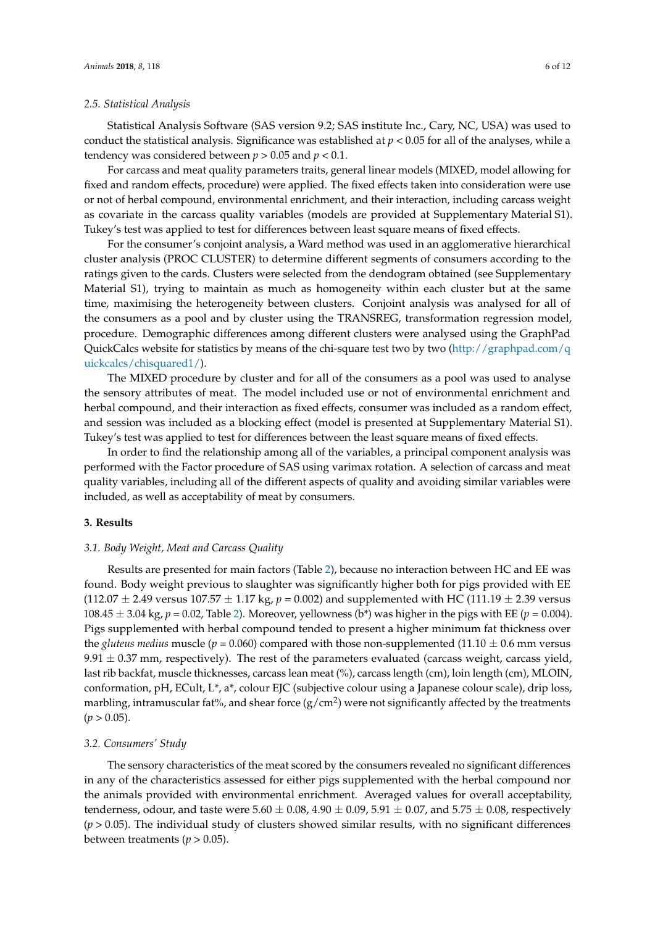#### *2.5. Statistical Analysis*

Statistical Analysis Software (SAS version 9.2; SAS institute Inc., Cary, NC, USA) was used to conduct the statistical analysis. Significance was established at  $p < 0.05$  for all of the analyses, while a tendency was considered between  $p > 0.05$  and  $p < 0.1$ .

For carcass and meat quality parameters traits, general linear models (MIXED, model allowing for fixed and random effects, procedure) were applied. The fixed effects taken into consideration were use or not of herbal compound, environmental enrichment, and their interaction, including carcass weight as covariate in the carcass quality variables (models are provided at Supplementary Material S1). Tukey's test was applied to test for differences between least square means of fixed effects.

For the consumer's conjoint analysis, a Ward method was used in an agglomerative hierarchical cluster analysis (PROC CLUSTER) to determine different segments of consumers according to the ratings given to the cards. Clusters were selected from the dendogram obtained (see Supplementary Material S1), trying to maintain as much as homogeneity within each cluster but at the same time, maximising the heterogeneity between clusters. Conjoint analysis was analysed for all of the consumers as a pool and by cluster using the TRANSREG, transformation regression model, procedure. Demographic differences among different clusters were analysed using the GraphPad QuickCalcs website for statistics by means of the chi-square test two by two [\(http://graphpad.com/q](http://graphpad.com/quickcalcs/chisquared1/) [uickcalcs/chisquared1/\)](http://graphpad.com/quickcalcs/chisquared1/).

The MIXED procedure by cluster and for all of the consumers as a pool was used to analyse the sensory attributes of meat. The model included use or not of environmental enrichment and herbal compound, and their interaction as fixed effects, consumer was included as a random effect, and session was included as a blocking effect (model is presented at Supplementary Material S1). Tukey's test was applied to test for differences between the least square means of fixed effects.

In order to find the relationship among all of the variables, a principal component analysis was performed with the Factor procedure of SAS using varimax rotation. A selection of carcass and meat quality variables, including all of the different aspects of quality and avoiding similar variables were included, as well as acceptability of meat by consumers.

#### **3. Results**

#### *3.1. Body Weight, Meat and Carcass Quality*

Results are presented for main factors (Table [2\)](#page-6-0), because no interaction between HC and EE was found. Body weight previous to slaughter was significantly higher both for pigs provided with EE  $(112.07 \pm 2.49 \text{ versus } 107.57 \pm 1.17 \text{ kg}, p = 0.002)$  and supplemented with HC (111.19  $\pm$  2.39 versus 108.45  $\pm$  3.04 kg,  $p = 0.02$ , Table [2\)](#page-6-0). Moreover, yellowness (b<sup>\*</sup>) was higher in the pigs with EE ( $p = 0.004$ ). Pigs supplemented with herbal compound tended to present a higher minimum fat thickness over the *gluteus medius* muscle ( $p = 0.060$ ) compared with those non-supplemented (11.10  $\pm$  0.6 mm versus 9.91  $\pm$  0.37 mm, respectively). The rest of the parameters evaluated (carcass weight, carcass yield, last rib backfat, muscle thicknesses, carcass lean meat (%), carcass length (cm), loin length (cm), MLOIN, conformation, pH, ECult, L\*, a\*, colour EJC (subjective colour using a Japanese colour scale), drip loss, marbling, intramuscular fat%, and shear force (g/cm<sup>2</sup>) were not significantly affected by the treatments  $(p > 0.05)$ .

#### *3.2. Consumers' Study*

The sensory characteristics of the meat scored by the consumers revealed no significant differences in any of the characteristics assessed for either pigs supplemented with the herbal compound nor the animals provided with environmental enrichment. Averaged values for overall acceptability, tenderness, odour, and taste were  $5.60 \pm 0.08$ ,  $4.90 \pm 0.09$ ,  $5.91 \pm 0.07$ , and  $5.75 \pm 0.08$ , respectively  $(p > 0.05)$ . The individual study of clusters showed similar results, with no significant differences between treatments ( $p > 0.05$ ).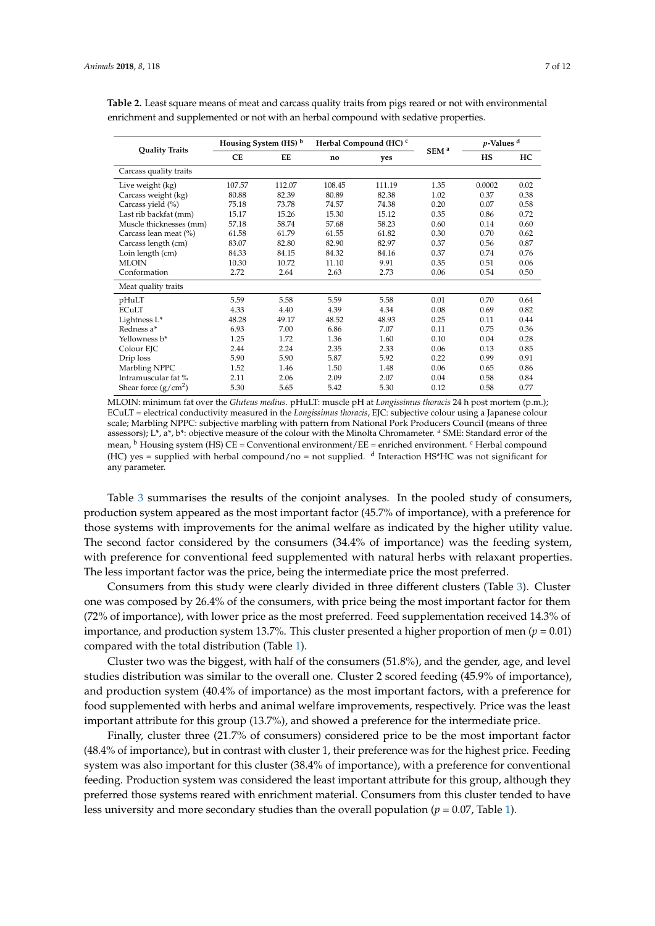Intramuscular fat % Shear force  $(g/cm<sup>2</sup>)$ 

| <b>Quality Traits</b>   | Housing System (HS) b |        | Herbal Compound (HC) <sup>c</sup> |        |                  | $p$ -Values <sup>d</sup> |      |
|-------------------------|-----------------------|--------|-----------------------------------|--------|------------------|--------------------------|------|
|                         | CE                    | EE     | no                                | yes    | SEM <sup>a</sup> | HS                       | HC   |
| Carcass quality traits  |                       |        |                                   |        |                  |                          |      |
| Live weight (kg)        | 107.57                | 112.07 | 108.45                            | 111.19 | 1.35             | 0.0002                   | 0.02 |
| Carcass weight (kg)     | 80.88                 | 82.39  | 80.89                             | 82.38  | 1.02             | 0.37                     | 0.38 |
| Carcass yield (%)       | 75.18                 | 73.78  | 74.57                             | 74.38  | 0.20             | 0.07                     | 0.58 |
| Last rib backfat (mm)   | 15.17                 | 15.26  | 15.30                             | 15.12  | 0.35             | 0.86                     | 0.72 |
| Muscle thicknesses (mm) | 57.18                 | 58.74  | 57.68                             | 58.23  | 0.60             | 0.14                     | 0.60 |
| Carcass lean meat (%)   | 61.58                 | 61.79  | 61.55                             | 61.82  | 0.30             | 0.70                     | 0.62 |
| Carcass length (cm)     | 83.07                 | 82.80  | 82.90                             | 82.97  | 0.37             | 0.56                     | 0.87 |
| Loin length (cm)        | 84.33                 | 84.15  | 84.32                             | 84.16  | 0.37             | 0.74                     | 0.76 |
| <b>MLOIN</b>            | 10.30                 | 10.72  | 11.10                             | 9.91   | 0.35             | 0.51                     | 0.06 |
| Conformation            | 2.72                  | 2.64   | 2.63                              | 2.73   | 0.06             | 0.54                     | 0.50 |
| Meat quality traits     |                       |        |                                   |        |                  |                          |      |
| pHuLT                   | 5.59                  | 5.58   | 5.59                              | 5.58   | 0.01             | 0.70                     | 0.64 |
| ECuLT                   | 4.33                  | 4.40   | 4.39                              | 4.34   | 0.08             | 0.69                     | 0.82 |
| Lightness L*            | 48.28                 | 49.17  | 48.52                             | 48.93  | 0.25             | 0.11                     | 0.44 |
| Redness a*              | 6.93                  | 7.00   | 6.86                              | 7.07   | 0.11             | 0.75                     | 0.36 |
| Yellowness b*           | 1.25                  | 1.72   | 1.36                              | 1.60   | 0.10             | 0.04                     | 0.28 |

<span id="page-6-0"></span>**Table 2.** Least square means of meat and carcass quality traits from pigs reared or not with environmental enrichment and supplemented or not with an herbal compound with sedative properties.

MLOIN: minimum fat over the *Gluteus medius*. pHuLT: muscle pH at *Longissimus thoracis* 24 h post mortem (p.m.); ECuLT = electrical conductivity measured in the *Longissimus thoracis*, EJC: subjective colour using a Japanese colour scale; Marbling NPPC: subjective marbling with pattern from National Pork Producers Council (means of three assessors); L\*, a\*, b\*: objective measure of the colour with the Minolta Chromameter. <sup>a</sup> SME: Standard error of the mean,  $\rm{^b}$  Housing system (HS) CE = Conventional environment/EE = enriched environment.  $\rm{^c}$  Herbal compound (HC) yes = supplied with herbal compound/no = not supplied.  $\textsup{d}$  Interaction HS\*HC was not significant for any parameter.

) 5.30 5.65 5.42 5.30 0.12 0.58 0.77

Colour EJC 2.44 2.24 2.35 2.33 0.06 0.13 0.85 Drip loss 5.90 5.90 5.87 5.92 0.22 0.99 0.91 Marbling NPPC 1.52 1.46 1.50 1.48 0.06 0.65 0.86<br>
Intramuscular fat % 2.11 2.06 2.09 2.07 0.04 0.58 0.84

Table [3](#page-7-0) summarises the results of the conjoint analyses. In the pooled study of consumers, production system appeared as the most important factor (45.7% of importance), with a preference for those systems with improvements for the animal welfare as indicated by the higher utility value. The second factor considered by the consumers (34.4% of importance) was the feeding system, with preference for conventional feed supplemented with natural herbs with relaxant properties. The less important factor was the price, being the intermediate price the most preferred.

Consumers from this study were clearly divided in three different clusters (Table [3\)](#page-7-0). Cluster one was composed by 26.4% of the consumers, with price being the most important factor for them (72% of importance), with lower price as the most preferred. Feed supplementation received 14.3% of importance, and production system 13.7%. This cluster presented a higher proportion of men ( $p = 0.01$ ) compared with the total distribution (Table [1\)](#page-4-0).

Cluster two was the biggest, with half of the consumers (51.8%), and the gender, age, and level studies distribution was similar to the overall one. Cluster 2 scored feeding (45.9% of importance), and production system (40.4% of importance) as the most important factors, with a preference for food supplemented with herbs and animal welfare improvements, respectively. Price was the least important attribute for this group (13.7%), and showed a preference for the intermediate price.

Finally, cluster three (21.7% of consumers) considered price to be the most important factor (48.4% of importance), but in contrast with cluster 1, their preference was for the highest price. Feeding system was also important for this cluster (38.4% of importance), with a preference for conventional feeding. Production system was considered the least important attribute for this group, although they preferred those systems reared with enrichment material. Consumers from this cluster tended to have less university and more secondary studies than the overall population (*p* = 0.07, Table [1\)](#page-4-0).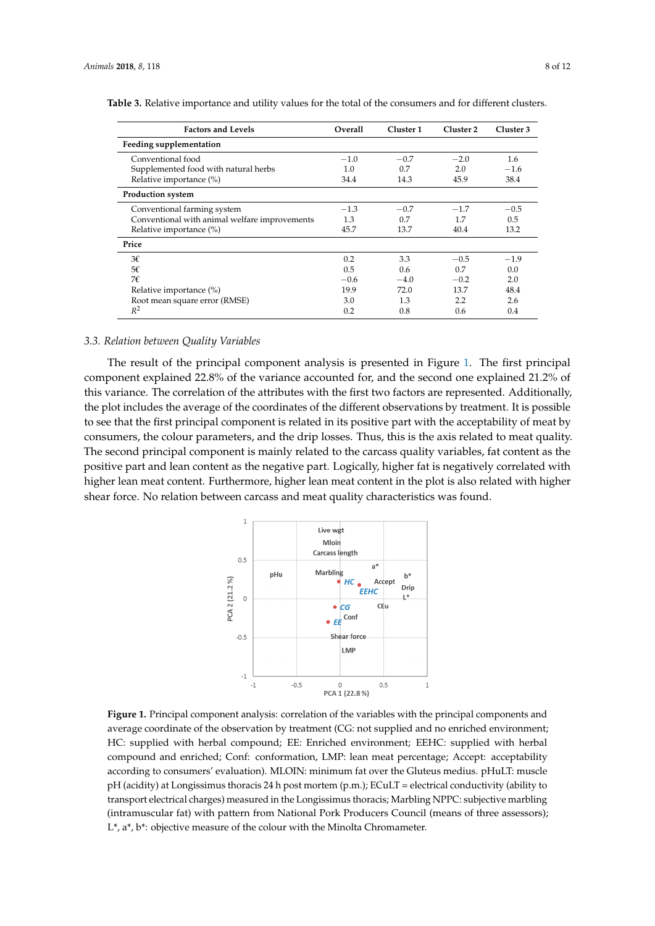| <b>Factors and Levels</b>                     | <b>Overall</b> | Cluster 1 | Cluster 2 | Cluster 3 |
|-----------------------------------------------|----------------|-----------|-----------|-----------|
| Feeding supplementation                       |                |           |           |           |
| Conventional food                             | $-1.0$         | $-0.7$    | $-2.0$    | 1.6       |
| Supplemented food with natural herbs          | 1.0            | 0.7       | 2.0       | $-1.6$    |
| Relative importance (%)                       | 34.4           | 14.3      | 45.9      | 38.4      |
| <b>Production system</b>                      |                |           |           |           |
| Conventional farming system                   | $-1.3$         | $-0.7$    | $-1.7$    | $-0.5$    |
| Conventional with animal welfare improvements | 1.3            | 0.7       | 1.7       | 0.5       |
| Relative importance (%)                       | 45.7           | 13.7      | 40.4      | 13.2      |
| Price                                         |                |           |           |           |
| 3€                                            | 0.2            | 3.3       | $-0.5$    | $-1.9$    |
| 5€                                            | 0.5            | 0.6       | 0.7       | 0.0       |
| 7€                                            | $-0.6$         | $-4.0$    | $-0.2$    | 2.0       |
| Relative importance (%)                       | 19.9           | 72.0      | 13.7      | 48.4      |
| Root mean square error (RMSE)                 | 3.0            | 1.3       | 2.2       | 2.6       |
| $R^2$                                         | 0.2            | 0.8       | 0.6       | 0.4       |

<span id="page-7-0"></span>**Table 3.** Relative importance and utility values for the total of the consumers and for different clusters.

#### *3.3. Relation between Quality Variables*

The result of the principal component analysis is presented in Figure [1.](#page-7-1) The first principal component explained 22.8% of the variance accounted for, and the second one explained 21.2% of this variance. The correlation of the attributes with the first two factors are represented. Additionally, the plot includes the average of the coordinates of the different observations by treatment. It is possible to see that the first principal component is related in its positive part with the acceptability of meat by consumers, the colour parameters, and the drip losses. Thus, this is the axis related to meat quality. The second principal component is mainly related to the carcass quality variables, fat content as the positive part and lean content as the negative part. Logically, higher fat is negatively correlated with higher lean meat content. Furthermore, higher lean meat content in the plot is also related with higher shear force. No relation between carcass and meat quality characteristics was found. *Animals* **2018**, *8*, x 9 of 13

<span id="page-7-1"></span>

**Figure 1.** Principal component analysis: correlation of the variables with the principal components **Figure 1.** Principal component analysis: correlation of the variables with the principal components and average coordinate of the observation by treatment (CG: not supplied and no enriched environment; herbal compound  $\mathbf{F}$ :  $\mathbf{F}$  conformation, Longitudination, LMP: lean meat HC: supplied with herbal compound; EE: Enriched environment; EEHC: supplied with herbal compound and enriched; Conf: conformation, LMP: lean meat percentage; Accept: acceptability conductivity to the Longitude in the Longitude in the Longitude in the Longitude in the Longitude in the Longitude in the Longitude in the Longitude in the Longitude in the Longitude in the Longitude in the Longitude in t according to consumers' evaluation). MLOIN: minimum fat over the Gluteus medius. pHuLT: muscle pH (acidity) at Longissimus thoracis 24 h post mortem (p.m.); ECuLT = electrical conductivity (ability to **4. Discussion**  transport electrical charges) measured in the Longissimus thoracis; Marbling NPPC: subjective marbling (intramuscular fat) with pattern from National Pork Producers Council (means of three assessors); L\*, a\*, b\*: objective measure of the colour with the Minolta Chromameter.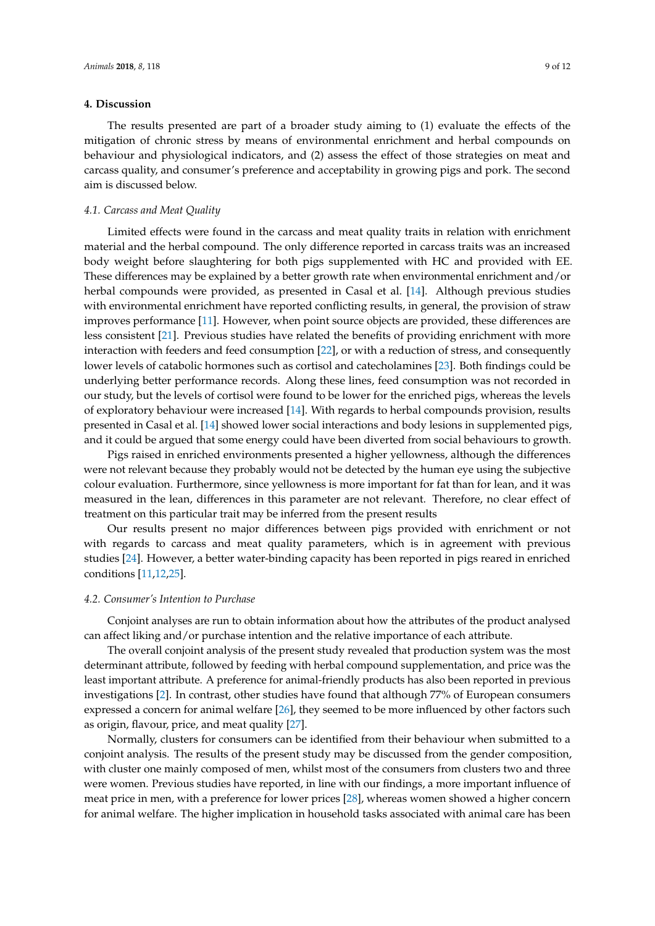#### **4. Discussion**

The results presented are part of a broader study aiming to (1) evaluate the effects of the mitigation of chronic stress by means of environmental enrichment and herbal compounds on behaviour and physiological indicators, and (2) assess the effect of those strategies on meat and carcass quality, and consumer's preference and acceptability in growing pigs and pork. The second aim is discussed below.

#### *4.1. Carcass and Meat Quality*

Limited effects were found in the carcass and meat quality traits in relation with enrichment material and the herbal compound. The only difference reported in carcass traits was an increased body weight before slaughtering for both pigs supplemented with HC and provided with EE. These differences may be explained by a better growth rate when environmental enrichment and/or herbal compounds were provided, as presented in Casal et al. [\[14\]](#page-10-13). Although previous studies with environmental enrichment have reported conflicting results, in general, the provision of straw improves performance [\[11\]](#page-10-10). However, when point source objects are provided, these differences are less consistent [\[21\]](#page-11-0). Previous studies have related the benefits of providing enrichment with more interaction with feeders and feed consumption [\[22\]](#page-11-1), or with a reduction of stress, and consequently lower levels of catabolic hormones such as cortisol and catecholamines [\[23\]](#page-11-2). Both findings could be underlying better performance records. Along these lines, feed consumption was not recorded in our study, but the levels of cortisol were found to be lower for the enriched pigs, whereas the levels of exploratory behaviour were increased [\[14\]](#page-10-13). With regards to herbal compounds provision, results presented in Casal et al. [\[14\]](#page-10-13) showed lower social interactions and body lesions in supplemented pigs, and it could be argued that some energy could have been diverted from social behaviours to growth.

Pigs raised in enriched environments presented a higher yellowness, although the differences were not relevant because they probably would not be detected by the human eye using the subjective colour evaluation. Furthermore, since yellowness is more important for fat than for lean, and it was measured in the lean, differences in this parameter are not relevant. Therefore, no clear effect of treatment on this particular trait may be inferred from the present results

Our results present no major differences between pigs provided with enrichment or not with regards to carcass and meat quality parameters, which is in agreement with previous studies [\[24\]](#page-11-3). However, a better water-binding capacity has been reported in pigs reared in enriched conditions [\[11,](#page-10-10)[12,](#page-10-11)[25\]](#page-11-4).

#### *4.2. Consumer's Intention to Purchase*

Conjoint analyses are run to obtain information about how the attributes of the product analysed can affect liking and/or purchase intention and the relative importance of each attribute.

The overall conjoint analysis of the present study revealed that production system was the most determinant attribute, followed by feeding with herbal compound supplementation, and price was the least important attribute. A preference for animal-friendly products has also been reported in previous investigations [\[2\]](#page-10-1). In contrast, other studies have found that although 77% of European consumers expressed a concern for animal welfare  $[26]$ , they seemed to be more influenced by other factors such as origin, flavour, price, and meat quality [\[27\]](#page-11-6).

Normally, clusters for consumers can be identified from their behaviour when submitted to a conjoint analysis. The results of the present study may be discussed from the gender composition, with cluster one mainly composed of men, whilst most of the consumers from clusters two and three were women. Previous studies have reported, in line with our findings, a more important influence of meat price in men, with a preference for lower prices [\[28\]](#page-11-7), whereas women showed a higher concern for animal welfare. The higher implication in household tasks associated with animal care has been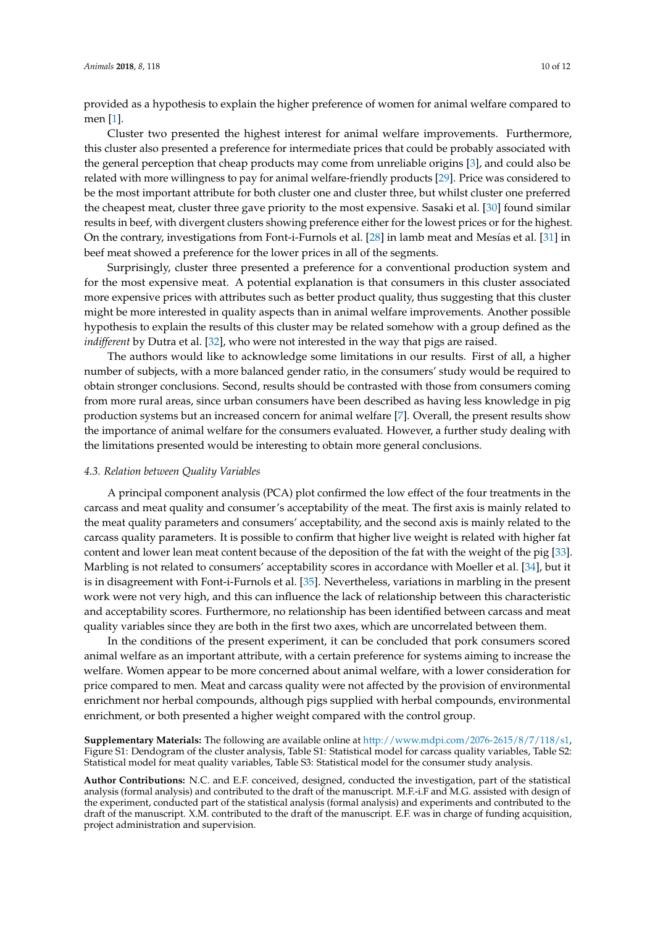provided as a hypothesis to explain the higher preference of women for animal welfare compared to men [\[1\]](#page-10-0).

Cluster two presented the highest interest for animal welfare improvements. Furthermore, this cluster also presented a preference for intermediate prices that could be probably associated with the general perception that cheap products may come from unreliable origins [\[3\]](#page-10-2), and could also be related with more willingness to pay for animal welfare-friendly products [\[29\]](#page-11-8). Price was considered to be the most important attribute for both cluster one and cluster three, but whilst cluster one preferred the cheapest meat, cluster three gave priority to the most expensive. Sasaki et al. [\[30\]](#page-11-9) found similar results in beef, with divergent clusters showing preference either for the lowest prices or for the highest. On the contrary, investigations from Font-i-Furnols et al. [\[28\]](#page-11-7) in lamb meat and Mesías et al. [\[31\]](#page-11-10) in beef meat showed a preference for the lower prices in all of the segments.

Surprisingly, cluster three presented a preference for a conventional production system and for the most expensive meat. A potential explanation is that consumers in this cluster associated more expensive prices with attributes such as better product quality, thus suggesting that this cluster might be more interested in quality aspects than in animal welfare improvements. Another possible hypothesis to explain the results of this cluster may be related somehow with a group defined as the *indifferent* by Dutra et al. [\[32\]](#page-11-11), who were not interested in the way that pigs are raised.

The authors would like to acknowledge some limitations in our results. First of all, a higher number of subjects, with a more balanced gender ratio, in the consumers' study would be required to obtain stronger conclusions. Second, results should be contrasted with those from consumers coming from more rural areas, since urban consumers have been described as having less knowledge in pig production systems but an increased concern for animal welfare [\[7\]](#page-10-6). Overall, the present results show the importance of animal welfare for the consumers evaluated. However, a further study dealing with the limitations presented would be interesting to obtain more general conclusions.

#### *4.3. Relation between Quality Variables*

A principal component analysis (PCA) plot confirmed the low effect of the four treatments in the carcass and meat quality and consumer's acceptability of the meat. The first axis is mainly related to the meat quality parameters and consumers' acceptability, and the second axis is mainly related to the carcass quality parameters. It is possible to confirm that higher live weight is related with higher fat content and lower lean meat content because of the deposition of the fat with the weight of the pig [\[33\]](#page-11-12). Marbling is not related to consumers' acceptability scores in accordance with Moeller et al. [\[34\]](#page-11-13), but it is in disagreement with Font-i-Furnols et al. [\[35\]](#page-11-14). Nevertheless, variations in marbling in the present work were not very high, and this can influence the lack of relationship between this characteristic and acceptability scores. Furthermore, no relationship has been identified between carcass and meat quality variables since they are both in the first two axes, which are uncorrelated between them.

In the conditions of the present experiment, it can be concluded that pork consumers scored animal welfare as an important attribute, with a certain preference for systems aiming to increase the welfare. Women appear to be more concerned about animal welfare, with a lower consideration for price compared to men. Meat and carcass quality were not affected by the provision of environmental enrichment nor herbal compounds, although pigs supplied with herbal compounds, environmental enrichment, or both presented a higher weight compared with the control group.

**Supplementary Materials:** The following are available online at [http://www.mdpi.com/2076-2615/8/7/118/s1,](http://www.mdpi.com/2076-2615/8/7/118/s1) Figure S1: Dendogram of the cluster analysis, Table S1: Statistical model for carcass quality variables, Table S2: Statistical model for meat quality variables, Table S3: Statistical model for the consumer study analysis.

**Author Contributions:** N.C. and E.F. conceived, designed, conducted the investigation, part of the statistical analysis (formal analysis) and contributed to the draft of the manuscript. M.F.-i.F and M.G. assisted with design of the experiment, conducted part of the statistical analysis (formal analysis) and experiments and contributed to the draft of the manuscript. X.M. contributed to the draft of the manuscript. E.F. was in charge of funding acquisition, project administration and supervision.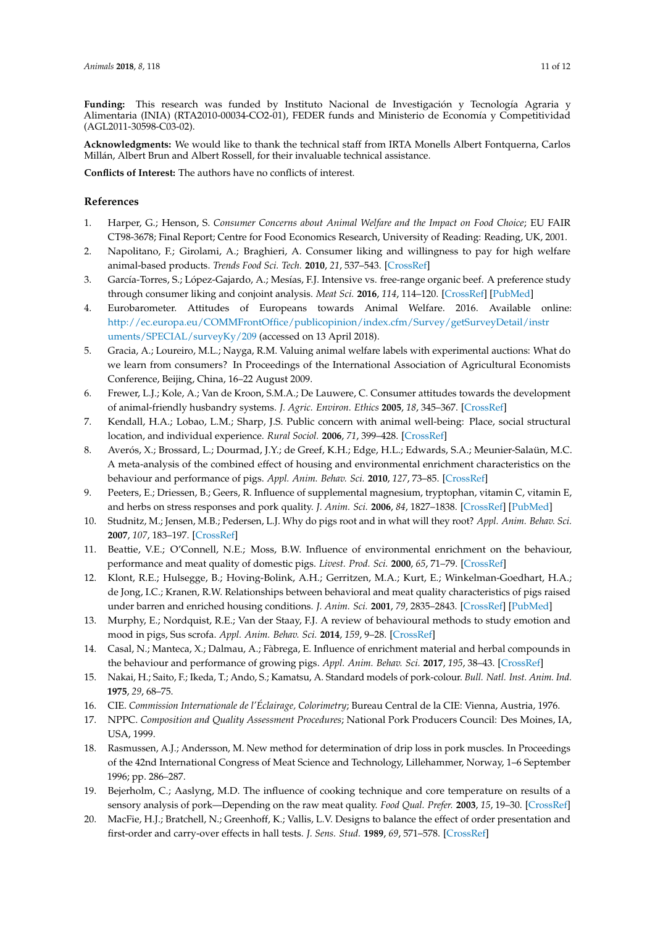**Funding:** This research was funded by Instituto Nacional de Investigación y Tecnología Agraria y Alimentaria (INIA) (RTA2010-00034-CO2-01), FEDER funds and Ministerio de Economía y Competitividad (AGL2011-30598-C03-02).

**Acknowledgments:** We would like to thank the technical staff from IRTA Monells Albert Fontquerna, Carlos Millán, Albert Brun and Albert Rossell, for their invaluable technical assistance.

**Conflicts of Interest:** The authors have no conflicts of interest.

#### **References**

- <span id="page-10-0"></span>1. Harper, G.; Henson, S. *Consumer Concerns about Animal Welfare and the Impact on Food Choice*; EU FAIR CT98-3678; Final Report; Centre for Food Economics Research, University of Reading: Reading, UK, 2001.
- <span id="page-10-1"></span>2. Napolitano, F.; Girolami, A.; Braghieri, A. Consumer liking and willingness to pay for high welfare animal-based products. *Trends Food Sci. Tech.* **2010**, *21*, 537–543. [\[CrossRef\]](http://dx.doi.org/10.1016/j.tifs.2010.07.012)
- <span id="page-10-2"></span>3. García-Torres, S.; López-Gajardo, A.; Mesías, F.J. Intensive vs. free-range organic beef. A preference study through consumer liking and conjoint analysis. *Meat Sci.* **2016**, *114*, 114–120. [\[CrossRef\]](http://dx.doi.org/10.1016/j.meatsci.2015.12.019) [\[PubMed\]](http://www.ncbi.nlm.nih.gov/pubmed/26771143)
- <span id="page-10-3"></span>4. Eurobarometer. Attitudes of Europeans towards Animal Welfare. 2016. Available online: [http://ec.europa.eu/COMMFrontOffice/publicopinion/index.cfm/Survey/getSurveyDetail/instr](http://ec.europa.eu/COMMFrontOffice/publicopinion/index.cfm/Survey/getSurveyDetail/instruments/SPECIAL/surveyKy/209) [uments/SPECIAL/surveyKy/209](http://ec.europa.eu/COMMFrontOffice/publicopinion/index.cfm/Survey/getSurveyDetail/instruments/SPECIAL/surveyKy/209) (accessed on 13 April 2018).
- <span id="page-10-4"></span>5. Gracia, A.; Loureiro, M.L.; Nayga, R.M. Valuing animal welfare labels with experimental auctions: What do we learn from consumers? In Proceedings of the International Association of Agricultural Economists Conference, Beijing, China, 16–22 August 2009.
- <span id="page-10-5"></span>6. Frewer, L.J.; Kole, A.; Van de Kroon, S.M.A.; De Lauwere, C. Consumer attitudes towards the development of animal-friendly husbandry systems. *J. Agric. Environ. Ethics* **2005**, *18*, 345–367. [\[CrossRef\]](http://dx.doi.org/10.1007/s10806-005-1489-2)
- <span id="page-10-6"></span>7. Kendall, H.A.; Lobao, L.M.; Sharp, J.S. Public concern with animal well-being: Place, social structural location, and individual experience. *Rural Sociol.* **2006**, *71*, 399–428. [\[CrossRef\]](http://dx.doi.org/10.1526/003601106778070617)
- <span id="page-10-7"></span>8. Averós, X.; Brossard, L.; Dourmad, J.Y.; de Greef, K.H.; Edge, H.L.; Edwards, S.A.; Meunier-Salaün, M.C. A meta-analysis of the combined effect of housing and environmental enrichment characteristics on the behaviour and performance of pigs. *Appl. Anim. Behav. Sci.* **2010**, *127*, 73–85. [\[CrossRef\]](http://dx.doi.org/10.1016/j.applanim.2010.09.010)
- <span id="page-10-8"></span>9. Peeters, E.; Driessen, B.; Geers, R. Influence of supplemental magnesium, tryptophan, vitamin C, vitamin E, and herbs on stress responses and pork quality. *J. Anim. Sci.* **2006**, *84*, 1827–1838. [\[CrossRef\]](http://dx.doi.org/10.2527/jas.2005-600) [\[PubMed\]](http://www.ncbi.nlm.nih.gov/pubmed/16775067)
- <span id="page-10-9"></span>10. Studnitz, M.; Jensen, M.B.; Pedersen, L.J. Why do pigs root and in what will they root? *Appl. Anim. Behav. Sci.* **2007**, *107*, 183–197. [\[CrossRef\]](http://dx.doi.org/10.1016/j.applanim.2006.11.013)
- <span id="page-10-10"></span>11. Beattie, V.E.; O'Connell, N.E.; Moss, B.W. Influence of environmental enrichment on the behaviour, performance and meat quality of domestic pigs. *Livest. Prod. Sci.* **2000**, *65*, 71–79. [\[CrossRef\]](http://dx.doi.org/10.1016/S0301-6226(99)00179-7)
- <span id="page-10-11"></span>12. Klont, R.E.; Hulsegge, B.; Hoving-Bolink, A.H.; Gerritzen, M.A.; Kurt, E.; Winkelman-Goedhart, H.A.; de Jong, I.C.; Kranen, R.W. Relationships between behavioral and meat quality characteristics of pigs raised under barren and enriched housing conditions. *J. Anim. Sci.* **2001**, *79*, 2835–2843. [\[CrossRef\]](http://dx.doi.org/10.2527/2001.79112835x) [\[PubMed\]](http://www.ncbi.nlm.nih.gov/pubmed/11768112)
- <span id="page-10-12"></span>13. Murphy, E.; Nordquist, R.E.; Van der Staay, F.J. A review of behavioural methods to study emotion and mood in pigs, Sus scrofa. *Appl. Anim. Behav. Sci.* **2014**, *159*, 9–28. [\[CrossRef\]](http://dx.doi.org/10.1016/j.applanim.2014.08.002)
- <span id="page-10-13"></span>14. Casal, N.; Manteca, X.; Dalmau, A.; Fàbrega, E. Influence of enrichment material and herbal compounds in the behaviour and performance of growing pigs. *Appl. Anim. Behav. Sci.* **2017**, *195*, 38–43. [\[CrossRef\]](http://dx.doi.org/10.1016/j.applanim.2017.06.002)
- <span id="page-10-14"></span>15. Nakai, H.; Saito, F.; Ikeda, T.; Ando, S.; Kamatsu, A. Standard models of pork-colour. *Bull. Natl. Inst. Anim. Ind.* **1975**, *29*, 68–75.
- <span id="page-10-15"></span>16. CIE. *Commission Internationale de l'Éclairage, Colorimetry*; Bureau Central de la CIE: Vienna, Austria, 1976.
- <span id="page-10-16"></span>17. NPPC. *Composition and Quality Assessment Procedures*; National Pork Producers Council: Des Moines, IA, USA, 1999.
- <span id="page-10-17"></span>18. Rasmussen, A.J.; Andersson, M. New method for determination of drip loss in pork muscles. In Proceedings of the 42nd International Congress of Meat Science and Technology, Lillehammer, Norway, 1–6 September 1996; pp. 286–287.
- <span id="page-10-18"></span>19. Bejerholm, C.; Aaslyng, M.D. The influence of cooking technique and core temperature on results of a sensory analysis of pork—Depending on the raw meat quality. *Food Qual. Prefer.* **2003**, *15*, 19–30. [\[CrossRef\]](http://dx.doi.org/10.1016/S0950-3293(03)00018-1)
- <span id="page-10-19"></span>20. MacFie, H.J.; Bratchell, N.; Greenhoff, K.; Vallis, L.V. Designs to balance the effect of order presentation and first-order and carry-over effects in hall tests. *J. Sens. Stud.* **1989**, *69*, 571–578. [\[CrossRef\]](http://dx.doi.org/10.1111/j.1745-459X.1989.tb00463.x)